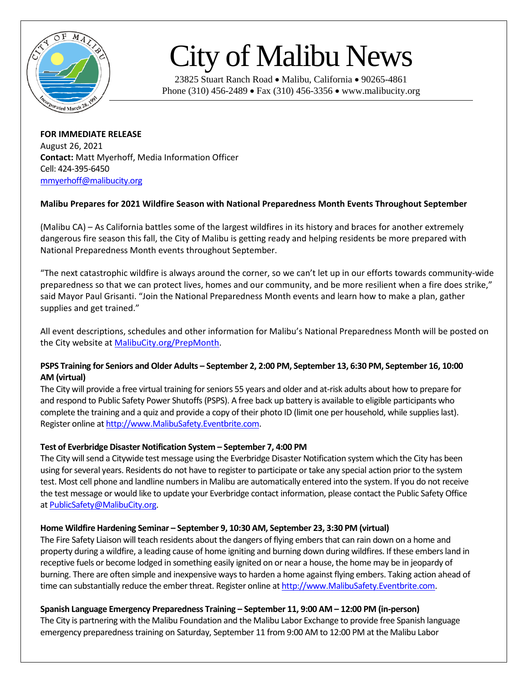

# City of Malibu News

23825 Stuart Ranch Road • Malibu, California • 90265-4861 Phone (310) 456-2489 • Fax (310) 456-3356 • www.malibucity.org

**FOR IMMEDIATE RELEASE** August 26, 2021 **Contact:** Matt Myerhoff, Media Information Officer Cell: 424-395-6450 [mmyerhoff@malibucity.org](mailto:mmyerhoff@malibucity.org)

# **Malibu Prepares for 2021 Wildfire Season with National Preparedness Month Events Throughout September**

(Malibu CA) – As California battles some of the largest wildfires in its history and braces for another extremely dangerous fire season this fall, the City of Malibu is getting ready and helping residents be more prepared with National Preparedness Month events throughout September.

"The next catastrophic wildfire is always around the corner, so we can't let up in our efforts towards community-wide preparedness so that we can protect lives, homes and our community, and be more resilient when a fire does strike," said Mayor Paul Grisanti. "Join the National Preparedness Month events and learn how to make a plan, gather supplies and get trained."

All event descriptions, schedules and other information for Malibu's National Preparedness Month will be posted on the City website at [MalibuCity.org/PrepMonth.](https://malibucity.org/prepmonth)

# **PSPS Training for Seniors and Older Adults – September 2, 2:00 PM, September 13, 6:30 PM, September 16, 10:00 AM (virtual)**

The City will provide a free virtual training for seniors 55 years and older and at-risk adults about how to prepare for and respond to Public Safety Power Shutoffs (PSPS). A free back up battery is available to eligible participants who complete the training and a quiz and provide a copy of their photo ID (limit one per household, while supplies last). Register online at [http://www.MalibuSafety.Eventbrite.com.](http://www.malibusafety.eventbrite.com/)

## **Test of Everbridge Disaster Notification System – September 7, 4:00 PM**

The City will send a Citywide test message using the Everbridge Disaster Notification system which the City has been using for several years. Residents do not have to register to participate or take any special action prior to the system test. Most cell phone and landline numbersin Malibu are automatically entered into the system. If you do not receive the test message or would like to update your Everbridge contact information, please contact the Public Safety Office a[t PublicSafety@MalibuCity.org.](mailto:PublicSafety@MalibuCity.org) 

## **Home Wildfire Hardening Seminar – September 9, 10:30 AM, September 23, 3:30 PM (virtual)**

The Fire Safety Liaison will teach residents about the dangers of flying embers that can rain down on a home and property during a wildfire, a leading cause of home igniting and burning down during wildfires. If these embers land in receptive fuels or become lodged in something easily ignited on or near a house, the home may be in jeopardy of burning. There are often simple and inexpensive ways to harden a home against flying embers. Taking action ahead of time can substantially reduce the ember threat. Register online a[t http://www.MalibuSafety.Eventbrite.com.](http://www.malibusafety.eventbrite.com/)

## **Spanish Language Emergency Preparedness Training – September 11, 9:00 AM – 12:00 PM (in-person)**

The City is partnering with the Malibu Foundation and the Malibu Labor Exchange to provide free Spanish language emergency preparedness training on Saturday, September 11 from 9:00 AM to 12:00 PM at the Malibu Labor